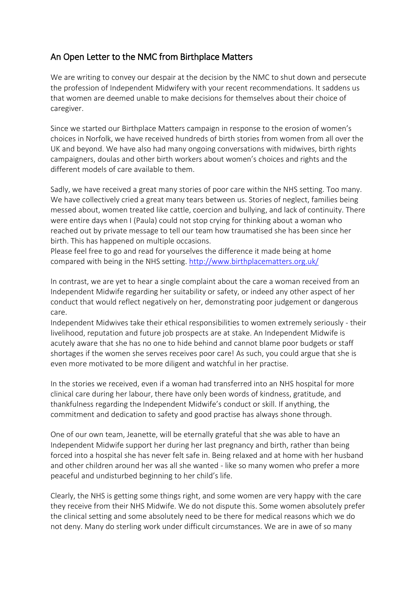## An Open Letter to the NMC from Birthplace Matters

We are writing to convey our despair at the decision by the NMC to shut down and persecute the profession of Independent Midwifery with your recent recommendations. It saddens us that women are deemed unable to make decisions for themselves about their choice of caregiver.

Since we started our Birthplace Matters campaign in response to the erosion of women's choices in Norfolk, we have received hundreds of birth stories from women from all over the UK and beyond. We have also had many ongoing conversations with midwives, birth rights campaigners, doulas and other birth workers about women's choices and rights and the different models of care available to them.

Sadly, we have received a great many stories of poor care within the NHS setting. Too many. We have collectively cried a great many tears between us. Stories of neglect, families being messed about, women treated like cattle, coercion and bullying, and lack of continuity. There were entire days when I (Paula) could not stop crying for thinking about a woman who reached out by private message to tell our team how traumatised she has been since her birth. This has happened on multiple occasions.

Please feel free to go and read for yourselves the difference it made being at home compared with being in the NHS setting. [http://www.birthplacematters.org.uk/](https://l.facebook.com/l.php?u=http%3A%2F%2Fwww.birthplacematters.org.uk%2F&h=ATMPpBnCmbFefK6DD5TPi9UAkHN7i07Ztgdhs-pxU04ExALcNWb0Rtjiw_T0ojOdUnwkxgXhVfI1582JYST1C95Vt_YmAf95TUxVRq3E-XqTm2auhrQQYm-PoJGqupBGqvLi6LM8kTI8ks8QQe53Rpt-eGnJLQ&enc=AZMK5DBBLUrdjjnc1qJrMoO3rZzX4sLnphkOFfmvEcrxr5_X3OA0dKQW3QJHIybSwZI7HbjGGUykW9lRmYeap7oUCMsuczPQwhQg1VPjUxwM4BSPj9ZyYgRx4A8UarLq1SiJfp2DiYZwPjBUsnzU7Yzuy-gVelO05S4jWtxPiiiJQw&s=1)

In contrast, we are yet to hear a single complaint about the care a woman received from an Independent Midwife regarding her suitability or safety, or indeed any other aspect of her conduct that would reflect negatively on her, demonstrating poor judgement or dangerous care.

Independent Midwives take their ethical responsibilities to women extremely seriously - their livelihood, reputation and future job prospects are at stake. An Independent Midwife is acutely aware that she has no one to hide behind and cannot blame poor budgets or staff shortages if the women she serves receives poor care! As such, you could argue that she is even more motivated to be more diligent and watchful in her practise.

In the stories we received, even if a woman had transferred into an NHS hospital for more clinical care during her labour, there have only been words of kindness, gratitude, and thankfulness regarding the Independent Midwife's conduct or skill. If anything, the commitment and dedication to safety and good practise has always shone through.

One of our own team, Jeanette, will be eternally grateful that she was able to have an Independent Midwife support her during her last pregnancy and birth, rather than being forced into a hospital she has never felt safe in. Being relaxed and at home with her husband and other children around her was all she wanted - like so many women who prefer a more peaceful and undisturbed beginning to her child's life.

Clearly, the NHS is getting some things right, and some women are very happy with the care they receive from their NHS Midwife. We do not dispute this. Some women absolutely prefer the clinical setting and some absolutely need to be there for medical reasons which we do not deny. Many do sterling work under difficult circumstances. We are in awe of so many